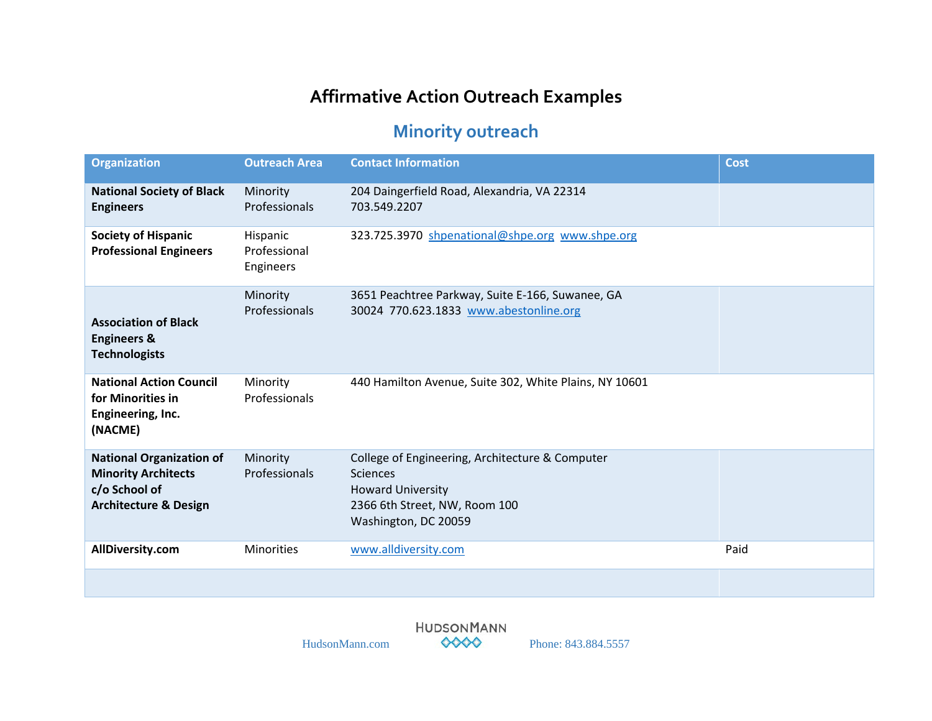## **Affirmative Action Outreach Examples**

## **Minority outreach**

| <b>Organization</b>                                                                                                | <b>Outreach Area</b>                  | <b>Contact Information</b>                                                                                                                              | <b>Cost</b> |
|--------------------------------------------------------------------------------------------------------------------|---------------------------------------|---------------------------------------------------------------------------------------------------------------------------------------------------------|-------------|
| <b>National Society of Black</b><br><b>Engineers</b>                                                               | Minority<br>Professionals             | 204 Daingerfield Road, Alexandria, VA 22314<br>703.549.2207                                                                                             |             |
| <b>Society of Hispanic</b><br><b>Professional Engineers</b>                                                        | Hispanic<br>Professional<br>Engineers | 323.725.3970 shpenational@shpe.org www.shpe.org                                                                                                         |             |
| <b>Association of Black</b><br><b>Engineers &amp;</b><br><b>Technologists</b>                                      | Minority<br>Professionals             | 3651 Peachtree Parkway, Suite E-166, Suwanee, GA<br>30024 770.623.1833 www.abestonline.org                                                              |             |
| <b>National Action Council</b><br>for Minorities in<br>Engineering, Inc.<br>(NACME)                                | Minority<br>Professionals             | 440 Hamilton Avenue, Suite 302, White Plains, NY 10601                                                                                                  |             |
| <b>National Organization of</b><br><b>Minority Architects</b><br>c/o School of<br><b>Architecture &amp; Design</b> | Minority<br>Professionals             | College of Engineering, Architecture & Computer<br><b>Sciences</b><br><b>Howard University</b><br>2366 6th Street, NW, Room 100<br>Washington, DC 20059 |             |
| AllDiversity.com                                                                                                   | <b>Minorities</b>                     | www.alldiversity.com                                                                                                                                    | Paid        |
|                                                                                                                    |                                       |                                                                                                                                                         |             |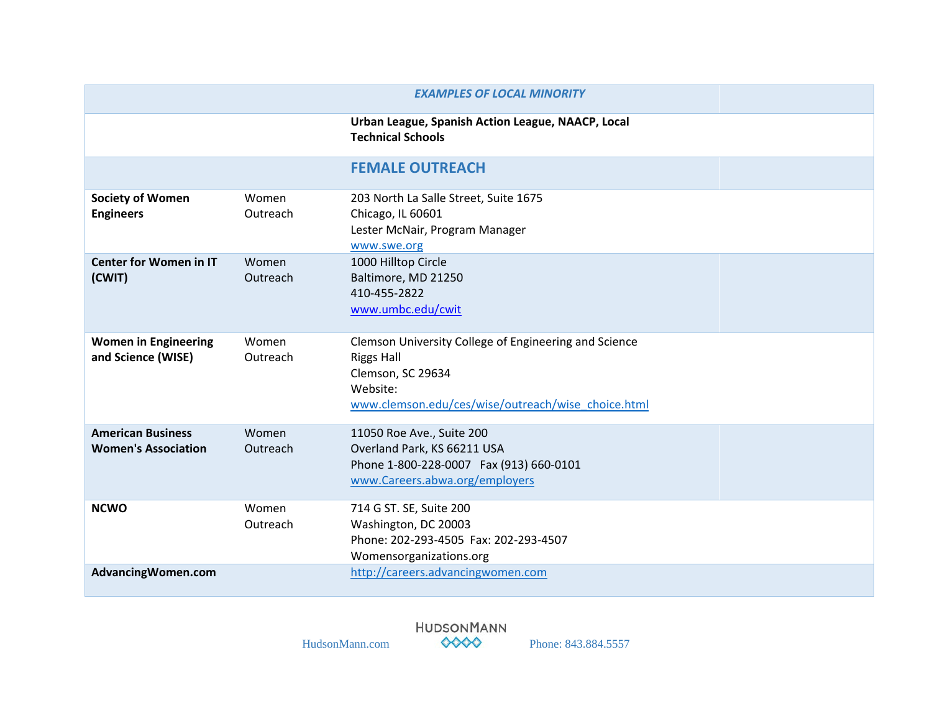| <b>EXAMPLES OF LOCAL MINORITY</b>                      |                   |                                                                                                                                                                   |  |
|--------------------------------------------------------|-------------------|-------------------------------------------------------------------------------------------------------------------------------------------------------------------|--|
|                                                        |                   | Urban League, Spanish Action League, NAACP, Local<br><b>Technical Schools</b>                                                                                     |  |
|                                                        |                   | <b>FEMALE OUTREACH</b>                                                                                                                                            |  |
| <b>Society of Women</b><br><b>Engineers</b>            | Women<br>Outreach | 203 North La Salle Street, Suite 1675<br>Chicago, IL 60601<br>Lester McNair, Program Manager<br>www.swe.org                                                       |  |
| <b>Center for Women in IT</b><br>(CWIT)                | Women<br>Outreach | 1000 Hilltop Circle<br>Baltimore, MD 21250<br>410-455-2822<br>www.umbc.edu/cwit                                                                                   |  |
| <b>Women in Engineering</b><br>and Science (WISE)      | Women<br>Outreach | Clemson University College of Engineering and Science<br><b>Riggs Hall</b><br>Clemson, SC 29634<br>Website:<br>www.clemson.edu/ces/wise/outreach/wise_choice.html |  |
| <b>American Business</b><br><b>Women's Association</b> | Women<br>Outreach | 11050 Roe Ave., Suite 200<br>Overland Park, KS 66211 USA<br>Phone 1-800-228-0007 Fax (913) 660-0101<br>www.Careers.abwa.org/employers                             |  |
| <b>NCWO</b>                                            | Women<br>Outreach | 714 G ST. SE, Suite 200<br>Washington, DC 20003<br>Phone: 202-293-4505 Fax: 202-293-4507<br>Womensorganizations.org                                               |  |
| AdvancingWomen.com                                     |                   | http://careers.advancingwomen.com                                                                                                                                 |  |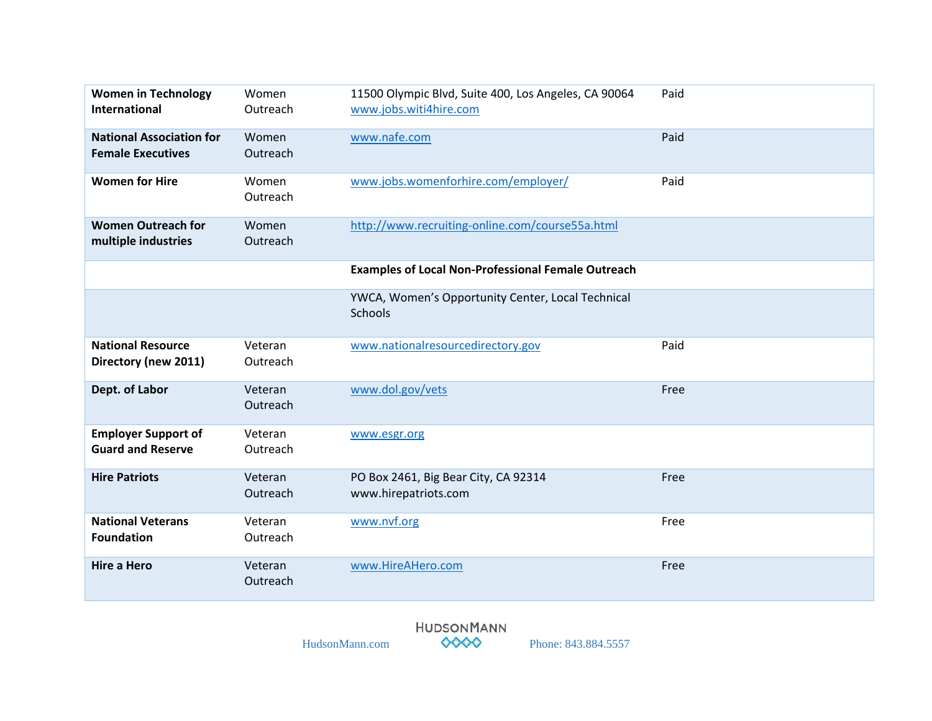| <b>Women in Technology</b><br><b>International</b>          | Women<br>Outreach   | 11500 Olympic Blvd, Suite 400, Los Angeles, CA 90064<br>www.jobs.witi4hire.com | Paid |
|-------------------------------------------------------------|---------------------|--------------------------------------------------------------------------------|------|
| <b>National Association for</b><br><b>Female Executives</b> | Women<br>Outreach   | www.nafe.com                                                                   | Paid |
| <b>Women for Hire</b>                                       | Women<br>Outreach   | www.jobs.womenforhire.com/employer/                                            | Paid |
| <b>Women Outreach for</b><br>multiple industries            | Women<br>Outreach   | http://www.recruiting-online.com/course55a.html                                |      |
|                                                             |                     | <b>Examples of Local Non-Professional Female Outreach</b>                      |      |
|                                                             |                     | YWCA, Women's Opportunity Center, Local Technical<br>Schools                   |      |
| <b>National Resource</b><br>Directory (new 2011)            | Veteran<br>Outreach | www.nationalresourcedirectory.gov                                              | Paid |
| Dept. of Labor                                              | Veteran<br>Outreach | www.dol.gov/vets                                                               | Free |
| <b>Employer Support of</b><br><b>Guard and Reserve</b>      | Veteran<br>Outreach | www.esgr.org                                                                   |      |
| <b>Hire Patriots</b>                                        | Veteran<br>Outreach | PO Box 2461, Big Bear City, CA 92314<br>www.hirepatriots.com                   | Free |
| <b>National Veterans</b><br><b>Foundation</b>               | Veteran<br>Outreach | www.nvf.org                                                                    | Free |
| <b>Hire a Hero</b>                                          | Veteran<br>Outreach | www.HireAHero.com                                                              | Free |

HUDSONMANN<br>HudsonMann.com  $\bullet\bullet\bullet\bullet$  Phone: 843.884.5557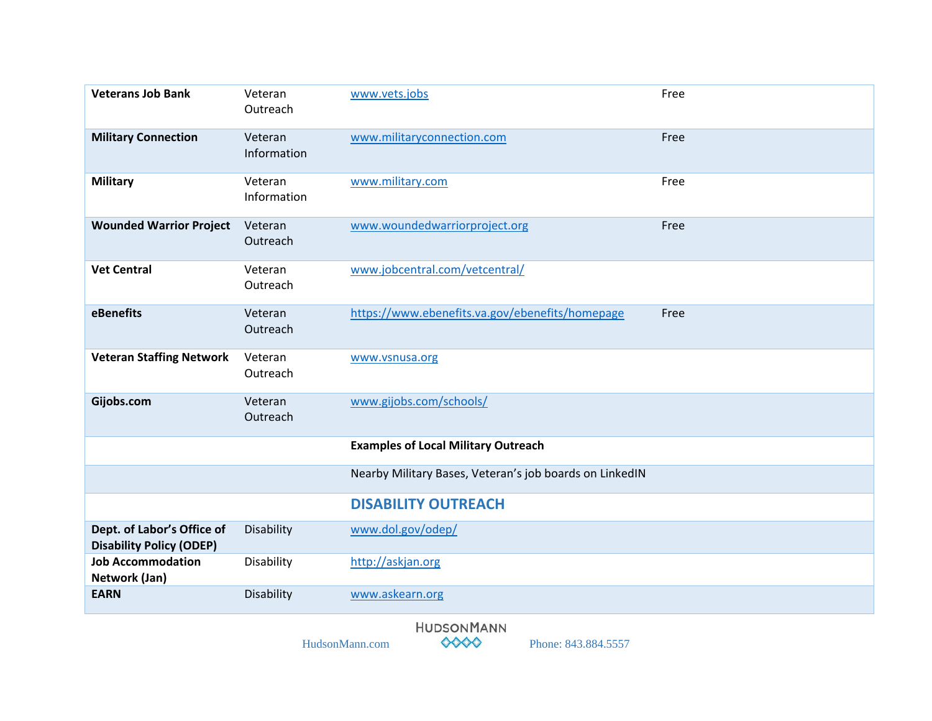| <b>Veterans Job Bank</b>                                      | Veteran<br>Outreach    | www.vets.jobs                                                                                    | Free |
|---------------------------------------------------------------|------------------------|--------------------------------------------------------------------------------------------------|------|
| <b>Military Connection</b>                                    | Veteran<br>Information | www.militaryconnection.com                                                                       | Free |
| <b>Military</b>                                               | Veteran<br>Information | www.military.com                                                                                 | Free |
| <b>Wounded Warrior Project</b>                                | Veteran<br>Outreach    | www.woundedwarriorproject.org                                                                    | Free |
| <b>Vet Central</b>                                            | Veteran<br>Outreach    | www.jobcentral.com/vetcentral/                                                                   |      |
| eBenefits                                                     | Veteran<br>Outreach    | https://www.ebenefits.va.gov/ebenefits/homepage                                                  | Free |
| <b>Veteran Staffing Network</b>                               | Veteran<br>Outreach    | www.vsnusa.org                                                                                   |      |
| Gijobs.com                                                    | Veteran<br>Outreach    | www.gijobs.com/schools/                                                                          |      |
|                                                               |                        | <b>Examples of Local Military Outreach</b>                                                       |      |
|                                                               |                        | Nearby Military Bases, Veteran's job boards on LinkedIN                                          |      |
|                                                               |                        | <b>DISABILITY OUTREACH</b>                                                                       |      |
| Dept. of Labor's Office of<br><b>Disability Policy (ODEP)</b> | Disability             | www.dol.gov/odep/                                                                                |      |
| <b>Job Accommodation</b><br>Network (Jan)                     | Disability             | http://askjan.org                                                                                |      |
| <b>EARN</b>                                                   | Disability             | www.askearn.org                                                                                  |      |
|                                                               |                        | <b>HUDSONMANN</b><br>$\diamond\diamond\diamond\diamond$<br>HudsonMann.com<br>Phone: 843.884.5557 |      |